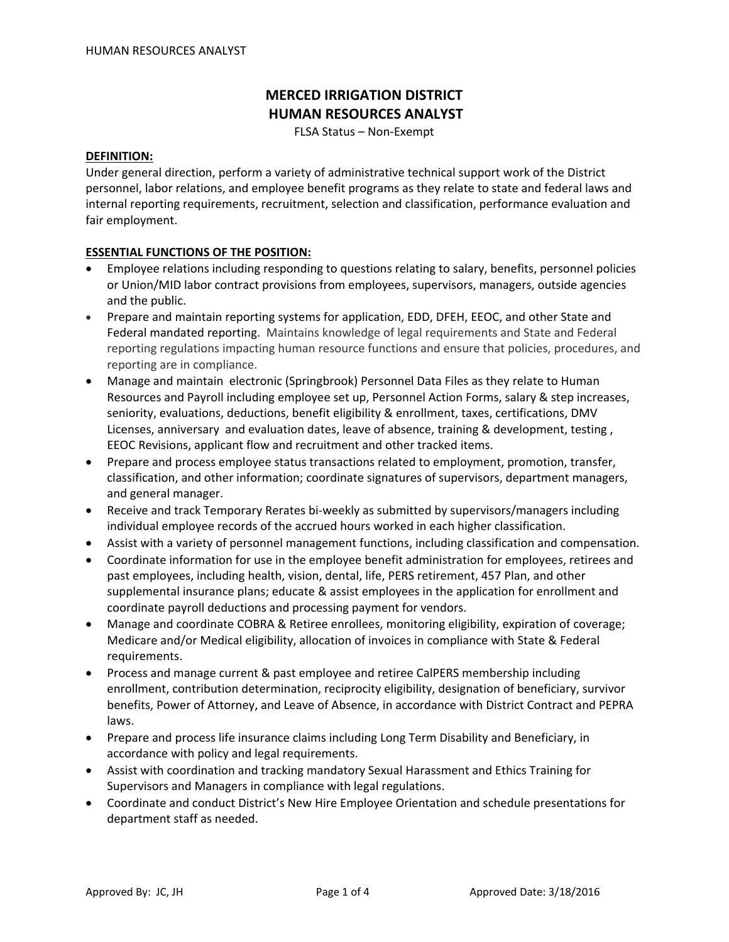# **MERCED IRRIGATION DISTRICT HUMAN RESOURCES ANALYST**

FLSA Status – Non‐Exempt

#### **DEFINITION:**

Under general direction, perform a variety of administrative technical support work of the District personnel, labor relations, and employee benefit programs as they relate to state and federal laws and internal reporting requirements, recruitment, selection and classification, performance evaluation and fair employment.

## **ESSENTIAL FUNCTIONS OF THE POSITION:**

- Employee relations including responding to questions relating to salary, benefits, personnel policies or Union/MID labor contract provisions from employees, supervisors, managers, outside agencies and the public.
- Prepare and maintain reporting systems for application, EDD, DFEH, EEOC, and other State and Federal mandated reporting. Maintains knowledge of legal requirements and State and Federal reporting regulations impacting human resource functions and ensure that policies, procedures, and reporting are in compliance.
- Manage and maintain electronic (Springbrook) Personnel Data Files as they relate to Human Resources and Payroll including employee set up, Personnel Action Forms, salary & step increases, seniority, evaluations, deductions, benefit eligibility & enrollment, taxes, certifications, DMV Licenses, anniversary and evaluation dates, leave of absence, training & development, testing , EEOC Revisions, applicant flow and recruitment and other tracked items.
- Prepare and process employee status transactions related to employment, promotion, transfer, classification, and other information; coordinate signatures of supervisors, department managers, and general manager.
- Receive and track Temporary Rerates bi-weekly as submitted by supervisors/managers including individual employee records of the accrued hours worked in each higher classification.
- Assist with a variety of personnel management functions, including classification and compensation.
- Coordinate information for use in the employee benefit administration for employees, retirees and past employees, including health, vision, dental, life, PERS retirement, 457 Plan, and other supplemental insurance plans; educate & assist employees in the application for enrollment and coordinate payroll deductions and processing payment for vendors.
- Manage and coordinate COBRA & Retiree enrollees, monitoring eligibility, expiration of coverage; Medicare and/or Medical eligibility, allocation of invoices in compliance with State & Federal requirements.
- Process and manage current & past employee and retiree CalPERS membership including enrollment, contribution determination, reciprocity eligibility, designation of beneficiary, survivor benefits, Power of Attorney, and Leave of Absence, in accordance with District Contract and PEPRA laws.
- Prepare and process life insurance claims including Long Term Disability and Beneficiary, in accordance with policy and legal requirements.
- Assist with coordination and tracking mandatory Sexual Harassment and Ethics Training for Supervisors and Managers in compliance with legal regulations.
- Coordinate and conduct District's New Hire Employee Orientation and schedule presentations for department staff as needed.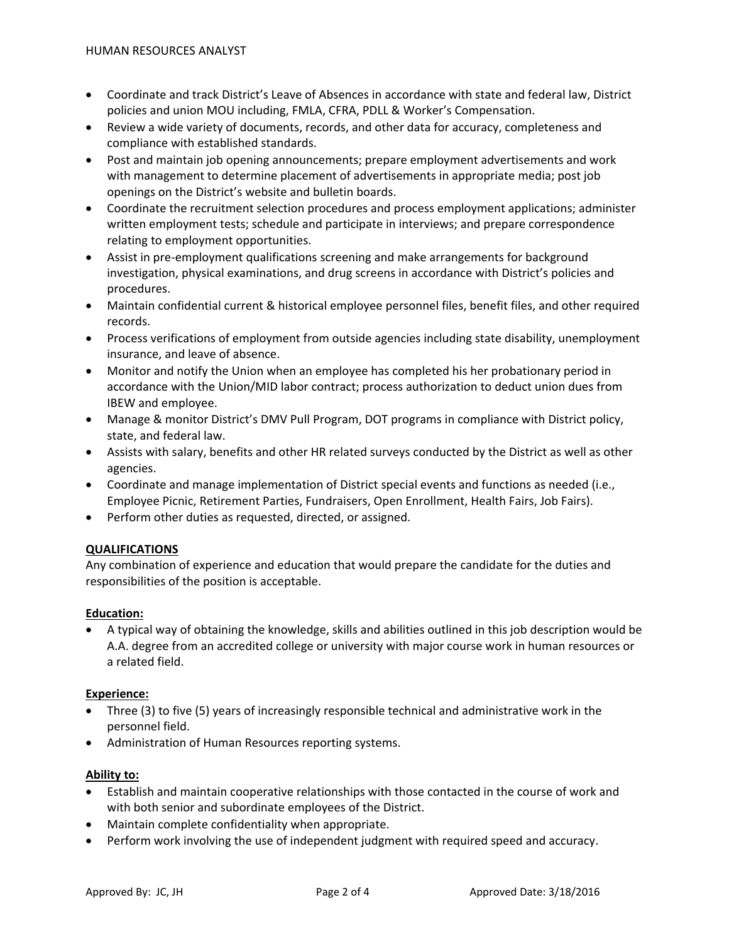- Coordinate and track District's Leave of Absences in accordance with state and federal law, District policies and union MOU including, FMLA, CFRA, PDLL & Worker's Compensation.
- Review a wide variety of documents, records, and other data for accuracy, completeness and compliance with established standards.
- Post and maintain job opening announcements; prepare employment advertisements and work with management to determine placement of advertisements in appropriate media; post job openings on the District's website and bulletin boards.
- Coordinate the recruitment selection procedures and process employment applications; administer written employment tests; schedule and participate in interviews; and prepare correspondence relating to employment opportunities.
- Assist in pre-employment qualifications screening and make arrangements for background investigation, physical examinations, and drug screens in accordance with District's policies and procedures.
- Maintain confidential current & historical employee personnel files, benefit files, and other required records.
- Process verifications of employment from outside agencies including state disability, unemployment insurance, and leave of absence.
- Monitor and notify the Union when an employee has completed his her probationary period in accordance with the Union/MID labor contract; process authorization to deduct union dues from IBEW and employee.
- Manage & monitor District's DMV Pull Program, DOT programs in compliance with District policy, state, and federal law.
- Assists with salary, benefits and other HR related surveys conducted by the District as well as other agencies.
- Coordinate and manage implementation of District special events and functions as needed (i.e., Employee Picnic, Retirement Parties, Fundraisers, Open Enrollment, Health Fairs, Job Fairs).
- Perform other duties as requested, directed, or assigned.

# **QUALIFICATIONS**

Any combination of experience and education that would prepare the candidate for the duties and responsibilities of the position is acceptable.

# **Education:**

• A typical way of obtaining the knowledge, skills and abilities outlined in this job description would be A.A. degree from an accredited college or university with major course work in human resources or a related field.

# **Experience:**

- Three (3) to five (5) years of increasingly responsible technical and administrative work in the personnel field.
- Administration of Human Resources reporting systems.

# **Ability to:**

- Establish and maintain cooperative relationships with those contacted in the course of work and with both senior and subordinate employees of the District.
- Maintain complete confidentiality when appropriate.
- Perform work involving the use of independent judgment with required speed and accuracy.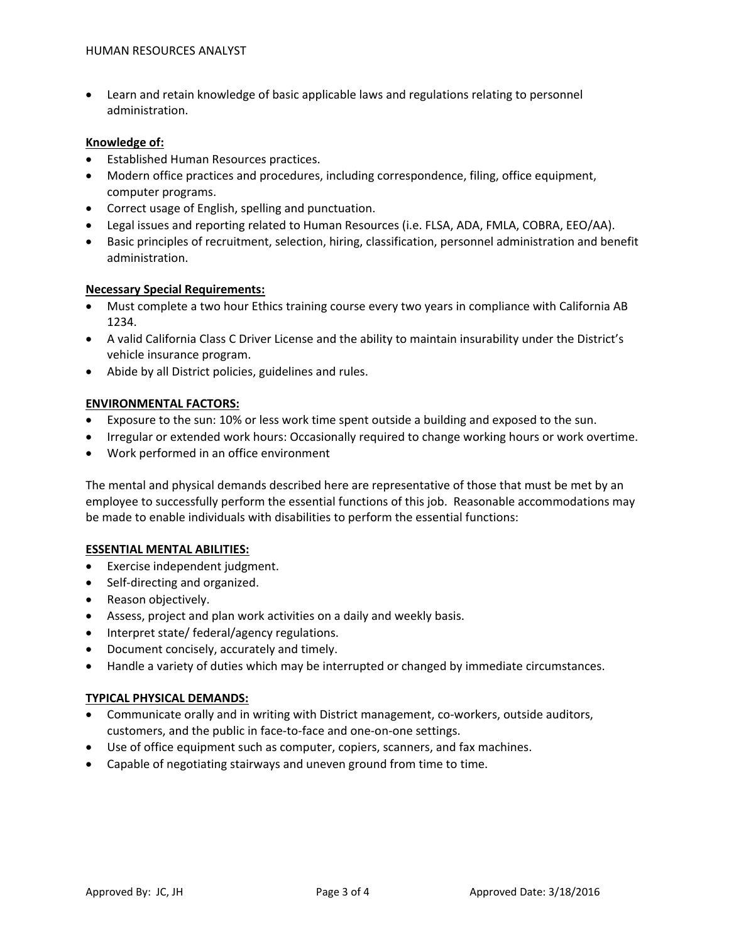• Learn and retain knowledge of basic applicable laws and regulations relating to personnel administration.

#### **Knowledge of:**

- Established Human Resources practices.
- Modern office practices and procedures, including correspondence, filing, office equipment, computer programs.
- Correct usage of English, spelling and punctuation.
- Legal issues and reporting related to Human Resources (i.e. FLSA, ADA, FMLA, COBRA, EEO/AA).
- Basic principles of recruitment, selection, hiring, classification, personnel administration and benefit administration.

## **Necessary Special Requirements:**

- Must complete a two hour Ethics training course every two years in compliance with California AB 1234.
- A valid California Class C Driver License and the ability to maintain insurability under the District's vehicle insurance program.
- Abide by all District policies, guidelines and rules.

## **ENVIRONMENTAL FACTORS:**

- Exposure to the sun: 10% or less work time spent outside a building and exposed to the sun.
- Irregular or extended work hours: Occasionally required to change working hours or work overtime.
- Work performed in an office environment

The mental and physical demands described here are representative of those that must be met by an employee to successfully perform the essential functions of this job. Reasonable accommodations may be made to enable individuals with disabilities to perform the essential functions:

#### **ESSENTIAL MENTAL ABILITIES:**

- Exercise independent judgment.
- Self-directing and organized.
- Reason objectively.
- Assess, project and plan work activities on a daily and weekly basis.
- Interpret state/ federal/agency regulations.
- Document concisely, accurately and timely.
- Handle a variety of duties which may be interrupted or changed by immediate circumstances.

# **TYPICAL PHYSICAL DEMANDS:**

- Communicate orally and in writing with District management, co-workers, outside auditors, customers, and the public in face‐to‐face and one‐on‐one settings.
- Use of office equipment such as computer, copiers, scanners, and fax machines.
- Capable of negotiating stairways and uneven ground from time to time.